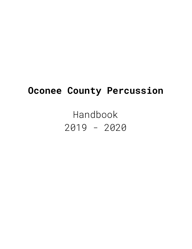# **Oconee County Percussion**

Handbook 2019 - 2020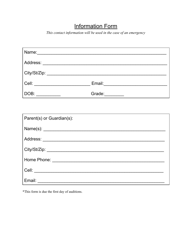# **Information Form**

This contact information will be used in the case of an emergency

| Name:                     |  |  |  |  |
|---------------------------|--|--|--|--|
|                           |  |  |  |  |
|                           |  |  |  |  |
|                           |  |  |  |  |
|                           |  |  |  |  |
|                           |  |  |  |  |
|                           |  |  |  |  |
| Parent(s) or Guardian(s): |  |  |  |  |
|                           |  |  |  |  |
|                           |  |  |  |  |
|                           |  |  |  |  |
|                           |  |  |  |  |
|                           |  |  |  |  |
|                           |  |  |  |  |

\*This form is due the first day of auditions.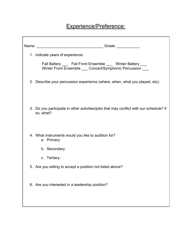# Experience/Preference:

| 1. Indicate years of experience:                                                                                                |
|---------------------------------------------------------------------------------------------------------------------------------|
| Fall Battery _____ Fall Front Ensemble _____ Winter Battery ____<br>Winter Front Ensemble ____ Concert/Symphonic Percussion ___ |
| 2. Describe your percussion experience (where, when, what you played, etc):                                                     |
| 3. Do you participate in other activities/jobs that may conflict with our schedule? if<br>so, what?                             |
| 4. What instruments would you like to audition for?<br>a. Primary:<br>b. Secondary:<br>c. Tertiary:                             |
| 5. Are you willing to accept a position not listed above?                                                                       |
| 6. Are you interested in a leadership position?                                                                                 |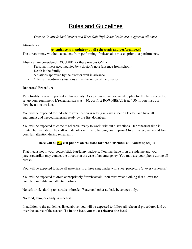# Rules and Guidelines

*Oconee County School District and West-Oak High School rules are in ef ect at all times.*

### **Attendance:**

### **Attendance is mandatory at all rehearsals and performances!**

The director may withhold a student from performing if rehearsal is missed prior to a performance.

Absences are considered EXCUSED for these reasons ONLY:

- Personal illness accompanied by a doctor's note (absence from school).
- Death in the family.
- Situations approved by the director well in advance.
- Other extraordinary situations at the discretion of the director.

### **Rehearsal Procedure:**

**Punctuality** is very important in this activity. As a percussionist you need to plan for the time needed to set up your equipment. If rehearsal starts at 4:30; our first **DOWNBEAT** is at 4:30. If you miss our downbeat you are late.

You will be expected to find where your section is setting up (ask a section leader) and have all equipment and needed materials ready by the first downbeat.

You will be expected to come to rehearsal ready to work; without distractions. Our rehearsal time is limited but valuable. The staff will devote our time to helping you improve! In exchange, we would like your full attention during rehearsal...

### **There will be NO cell phones on the floor (or front ensemble equivalent space)!!!**

That means not in your pocket/stick bag/fanny pack/etc. You may have it on the sideline and your parent/guardian may contact the director in the case of an emergency. You may use your phone during all breaks.

You will be expected to have all materials in a three ring binder with sheet protectors (at every rehearsal).

You will be expected to dress appropriately for rehearsals. You must wear clothing that allows for complete mobility and athletic footwear.

No soft drinks during rehearsals or breaks. Water and other athletic beverages only.

No food, gum, or candy in rehearsal.

In addition to the guidelines listed above; you will be expected to follow all rehearsal procedures laid out over the course of the season. **To be the best, you must rehearse the best!**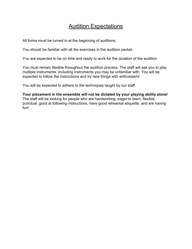# Audition Expectations

All forms must be turned in at the beginning of auditions.

You should be familiar with all the exercises in the audition packet.

You are expected to be on time and ready to work for the duration of the audition.

You must remain flexible throughout the audition process. The staff will ask you to play multiple instruments. Including instruments you may be unfamiliar with. You will be expected to follow the instructions and try new things with enthusiasm!

You will be expected to adhere to the techniques taught by our staff.

**Your placement in the ensemble will not be dictated by your playing ability alone**! The staff will be looking for people who are hardworking, eager to learn, flexible, punctual, good at following instructions, have good rehearsal etiquette, and are having fun!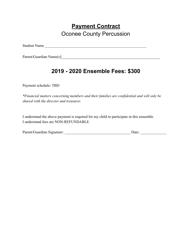# **Payment Contract** Oconee County Percussion

Student Name

Parent/Guardian Name(s)

### **2019 - 2020 Ensemble Fees: \$300**

Payment schedule: TBD

*\*Financial matters concerning members and their families are confidential and will only be shared with the director and treasurer.*

I understand the above payment is required for my child to participate in this ensemble. I understand fees are NON-REFUNDABLE.

| Parent/Guardian Signature: | Date: |  |
|----------------------------|-------|--|
|                            |       |  |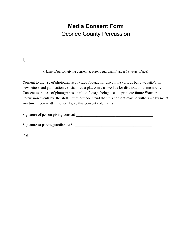# **Media Consent Form** Oconee County Percussion

I,

 $\_$ (Name of person giving consent & parent/guardian if under 18 years of age)

Consent to the use of photographs or video footage for use on the various band website's, in newsletters and publications, social media platforms, as well as for distribution to members. Consent to the use of photographs or video footage being used to promote future Warrior Percussion events by the staff. I further understand that this consent may be withdrawn by me at any time, upon written notice. I give this consent voluntarily.

| Signature of person giving consent |  |  |
|------------------------------------|--|--|
|                                    |  |  |

Signature of parent/guardian <18 \_\_\_\_\_\_\_\_\_\_\_\_\_\_\_\_\_\_\_\_\_\_\_\_\_\_\_\_\_\_\_\_\_\_\_\_\_\_\_\_\_

Date\_\_\_\_\_\_\_\_\_\_\_\_\_\_\_\_\_\_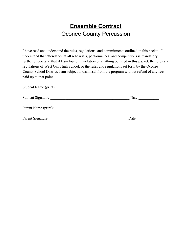# **Ensemble Contract** Oconee County Percussion

I have read and understand the rules, regulations, and commitments outlined in this packet. I understand that attendance at all rehearsals, performances, and competitions is mandatory. I further understand that if I am found in violation of anything outlined in this packet, the rules and regulations of West Oak High School, or the rules and regulations set forth by the Oconee County School District, I am subject to dismissal from the program without refund of any fees paid up to that point.

| Student Name (print): |       |
|-----------------------|-------|
| Student Signature:    | Date: |
| Parent Name (print):  |       |
| Parent Signature:     | Date: |